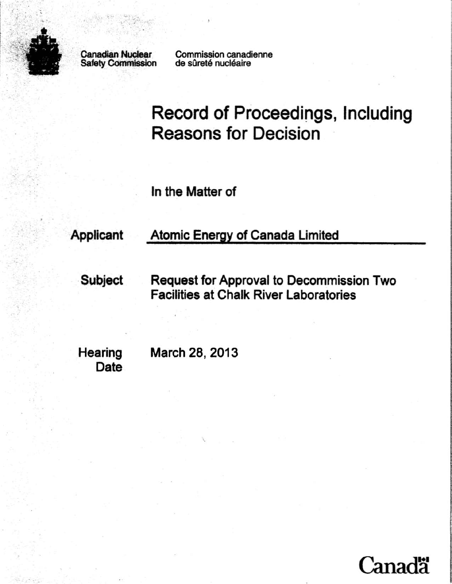

Safety Commission

<;

Canadian Nuclear Commission canadienne<br>Safety Commission de sûreté nucléaire

Record of Proceedings, Including Reasons for Decision

In the Matter of

# Applicant Atomic EnerQY of Canada Limited

Subject Request for Approval to Decommission Two Facilities at Chalk River Laboratories

Date

Hearing March 28, 2013

'.

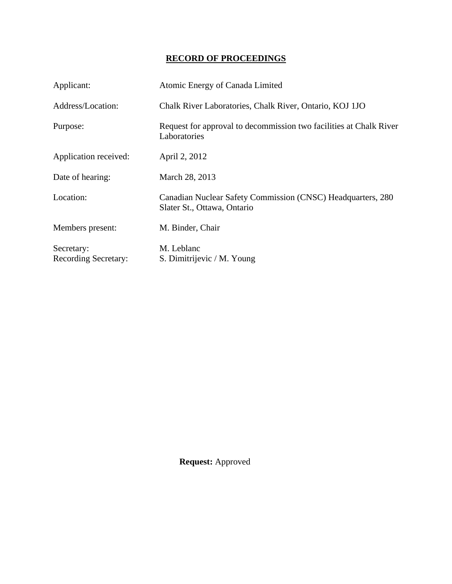# **RECORD OF PROCEEDINGS**

| Applicant:                                | Atomic Energy of Canada Limited                                                            |
|-------------------------------------------|--------------------------------------------------------------------------------------------|
| Address/Location:                         | Chalk River Laboratories, Chalk River, Ontario, KOJ 1JO                                    |
| Purpose:                                  | Request for approval to decommission two facilities at Chalk River<br>Laboratories         |
| Application received:                     | April 2, 2012                                                                              |
| Date of hearing:                          | March 28, 2013                                                                             |
| Location:                                 | Canadian Nuclear Safety Commission (CNSC) Headquarters, 280<br>Slater St., Ottawa, Ontario |
| Members present:                          | M. Binder, Chair                                                                           |
| Secretary:<br><b>Recording Secretary:</b> | M. Leblanc<br>S. Dimitrijevic / M. Young                                                   |

**Request:** Approved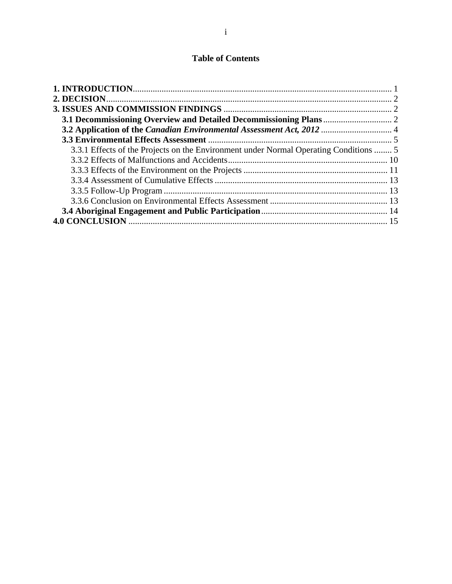# **Table of Contents**

| 3.3.1 Effects of the Projects on the Environment under Normal Operating Conditions  5 |  |
|---------------------------------------------------------------------------------------|--|
|                                                                                       |  |
|                                                                                       |  |
|                                                                                       |  |
|                                                                                       |  |
|                                                                                       |  |
|                                                                                       |  |
|                                                                                       |  |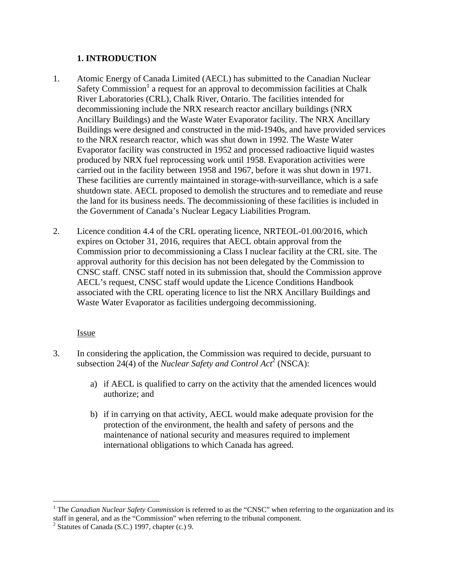# **1. INTRODUCTION**

- 1. Atomic Energy of Canada Limited (AECL) has submitted to the Canadian Nuclear Safety Commission<sup>1</sup> a request for an approval to decommission facilities at Chalk River Laboratories (CRL), Chalk River, Ontario. The facilities intended for decommissioning include the NRX research reactor ancillary buildings (NRX Ancillary Buildings) and the Waste Water Evaporator facility. The NRX Ancillary Buildings were designed and constructed in the mid-1940s, and have provided services to the NRX research reactor, which was shut down in 1992. The Waste Water Evaporator facility was constructed in 1952 and processed radioactive liquid wastes produced by NRX fuel reprocessing work until 1958. Evaporation activities were carried out in the facility between 1958 and 1967, before it was shut down in 1971. These facilities are currently maintained in storage-with-surveillance, which is a safe shutdown state. AECL proposed to demolish the structures and to remediate and reuse the land for its business needs. The decommissioning of these facilities is included in the Government of Canada's Nuclear Legacy Liabilities Program.
- 2. Licence condition 4.4 of the CRL operating licence, NRTEOL-01.00/2016, which expires on October 31, 2016, requires that AECL obtain approval from the Commission prior to decommissioning a Class I nuclear facility at the CRL site. The approval authority for this decision has not been delegated by the Commission to CNSC staff. CNSC staff noted in its submission that, should the Commission approve AECL's request, CNSC staff would update the Licence Conditions Handbook associated with the CRL operating licence to list the NRX Ancillary Buildings and Waste Water Evaporator as facilities undergoing decommissioning.

# Issue

 $\overline{a}$ 

- 3. In considering the application, the Commission was required to decide, pursuant to subsection 24(4) of the *Nuclear Safety and Control Act*<sup>2</sup> (NSCA):
	- a) if AECL is qualified to carry on the activity that the amended licences would authorize; and
	- b) if in carrying on that activity, AECL would make adequate provision for the protection of the environment, the health and safety of persons and the maintenance of national security and measures required to implement international obligations to which Canada has agreed.

<sup>&</sup>lt;sup>1</sup> The *Canadian Nuclear Safety Commission* is referred to as the "CNSC" when referring to the organization and its staff in general, and as the "Commission" when referring to the tribunal component.

 $2$  Statutes of Canada (S.C.) 1997, chapter (c.) 9.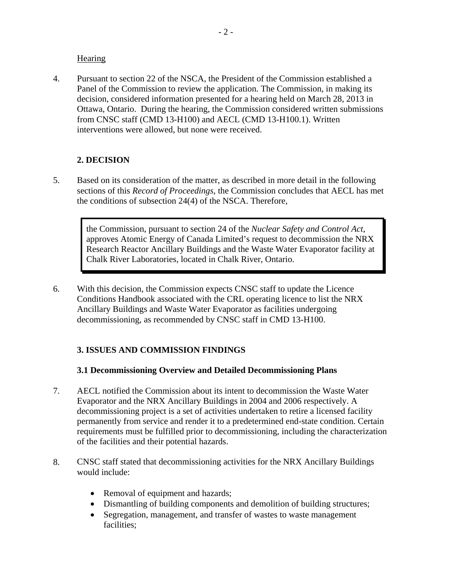### **Hearing**

4. Pursuant to section 22 of the NSCA, the President of the Commission established a Panel of the Commission to review the application. The Commission, in making its decision, considered information presented for a hearing held on March 28, 2013 in Ottawa, Ontario. During the hearing, the Commission considered written submissions from CNSC staff (CMD 13-H100) and AECL (CMD 13-H100.1). Written interventions were allowed, but none were received.

# **2. DECISION**

5. Based on its consideration of the matter, as described in more detail in the following sections of this *Record of Proceedings*, the Commission concludes that AECL has met the conditions of subsection 24(4) of the NSCA. Therefore,

the Commission, pursuant to section 24 of the *Nuclear Safety and Control Act*, approves Atomic Energy of Canada Limited's request to decommission the NRX Research Reactor Ancillary Buildings and the Waste Water Evaporator facility at Chalk River Laboratories, located in Chalk River, Ontario.

6. With this decision, the Commission expects CNSC staff to update the Licence Conditions Handbook associated with the CRL operating licence to list the NRX Ancillary Buildings and Waste Water Evaporator as facilities undergoing decommissioning, as recommended by CNSC staff in CMD 13-H100.

# **3. ISSUES AND COMMISSION FINDINGS**

# **3.1 Decommissioning Overview and Detailed Decommissioning Plans**

- 7. AECL notified the Commission about its intent to decommission the Waste Water Evaporator and the NRX Ancillary Buildings in 2004 and 2006 respectively. A decommissioning project is a set of activities undertaken to retire a licensed facility permanently from service and render it to a predetermined end-state condition. Certain requirements must be fulfilled prior to decommissioning, including the characterization of the facilities and their potential hazards.
- 8. CNSC staff stated that decommissioning activities for the NRX Ancillary Buildings would include:
	- Removal of equipment and hazards;
	- Dismantling of building components and demolition of building structures;
	- Segregation, management, and transfer of wastes to waste management facilities;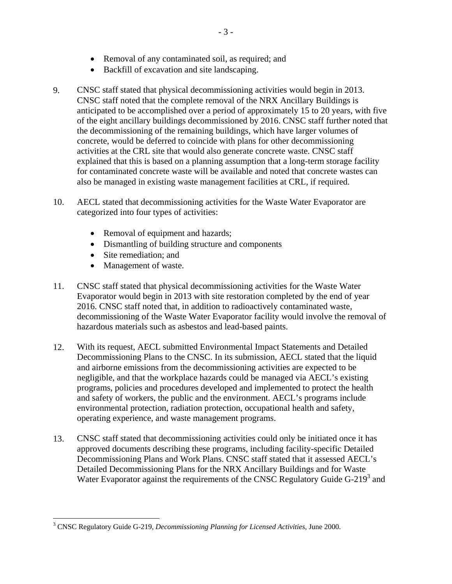- Removal of any contaminated soil, as required; and
- Backfill of excavation and site landscaping.
- 9. CNSC staff stated that physical decommissioning activities would begin in 2013. CNSC staff noted that the complete removal of the NRX Ancillary Buildings is anticipated to be accomplished over a period of approximately 15 to 20 years, with five of the eight ancillary buildings decommissioned by 2016. CNSC staff further noted that the decommissioning of the remaining buildings, which have larger volumes of concrete, would be deferred to coincide with plans for other decommissioning activities at the CRL site that would also generate concrete waste. CNSC staff explained that this is based on a planning assumption that a long-term storage facility for contaminated concrete waste will be available and noted that concrete wastes can also be managed in existing waste management facilities at CRL, if required.
- 10. AECL stated that decommissioning activities for the Waste Water Evaporator are categorized into four types of activities:
	- Removal of equipment and hazards;
	- Dismantling of building structure and components
	- Site remediation; and
	- Management of waste.

 $\overline{a}$ 

- 11. CNSC staff stated that physical decommissioning activities for the Waste Water Evaporator would begin in 2013 with site restoration completed by the end of year 2016. CNSC staff noted that, in addition to radioactively contaminated waste, decommissioning of the Waste Water Evaporator facility would involve the removal of hazardous materials such as asbestos and lead-based paints.
- 12. With its request, AECL submitted Environmental Impact Statements and Detailed Decommissioning Plans to the CNSC. In its submission, AECL stated that the liquid and airborne emissions from the decommissioning activities are expected to be negligible, and that the workplace hazards could be managed via AECL's existing programs, policies and procedures developed and implemented to protect the health and safety of workers, the public and the environment. AECL's programs include environmental protection, radiation protection, occupational health and safety, operating experience, and waste management programs.
- 13. CNSC staff stated that decommissioning activities could only be initiated once it has approved documents describing these programs, including facility-specific Detailed Decommissioning Plans and Work Plans. CNSC staff stated that it assessed AECL's Detailed Decommissioning Plans for the NRX Ancillary Buildings and for Waste Water Evaporator against the requirements of the CNSC Regulatory Guide G-219<sup>3</sup> and

<sup>3</sup> CNSC Regulatory Guide G-219, *Decommissioning Planning for Licensed Activities*, June 2000.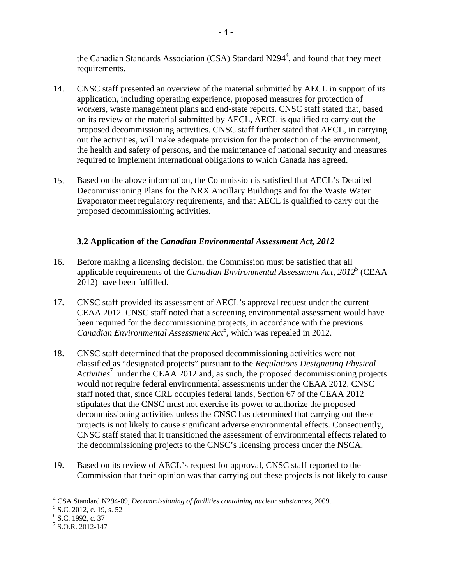the Canadian Standards Association (CSA) Standard  $N294<sup>4</sup>$ , and found that they meet requirements.

- 14. CNSC staff presented an overview of the material submitted by AECL in support of its application, including operating experience, proposed measures for protection of workers, waste management plans and end-state reports. CNSC staff stated that, based on its review of the material submitted by AECL, AECL is qualified to carry out the proposed decommissioning activities. CNSC staff further stated that AECL, in carrying out the activities, will make adequate provision for the protection of the environment, the health and safety of persons, and the maintenance of national security and measures required to implement international obligations to which Canada has agreed.
- 15. Based on the above information, the Commission is satisfied that AECL's Detailed Decommissioning Plans for the NRX Ancillary Buildings and for the Waste Water Evaporator meet regulatory requirements, and that AECL is qualified to carry out the proposed decommissioning activities.

# **3.2 Application of the** *Canadian Environmental Assessment Act, 2012*

- 16. Before making a licensing decision, the Commission must be satisfied that all applicable requirements of the *Canadian Environmental Assessment Act, 2012*<sup>5</sup> (CEAA 2012) have been fulfilled.
- 17. CNSC staff provided its assessment of AECL's approval request under the current CEAA 2012. CNSC staff noted that a screening environmental assessment would have been required for the decommissioning projects, in accordance with the previous *Canadian Environmental Assessment Act*<sup>6</sup> , which was repealed in 2012.
- 18. CNSC staff determined that the proposed decommissioning activities were not classified as "designated projects" pursuant to the *Regulations Designating Physical*  Activities<sup>7</sup> under the CEAA 2012 and, as such, the proposed decommissioning projects would not require federal environmental assessments under the CEAA 2012. CNSC staff noted that, since CRL occupies federal lands, Section 67 of the CEAA 2012 stipulates that the CNSC must not exercise its power to authorize the proposed decommissioning activities unless the CNSC has determined that carrying out these projects is not likely to cause significant adverse environmental effects. Consequently, CNSC staff stated that it transitioned the assessment of environmental effects related to the decommissioning projects to the CNSC's licensing process under the NSCA.
- 19. Based on its review of AECL's request for approval, CNSC staff reported to the Commission that their opinion was that carrying out these projects is not likely to cause

 $\overline{a}$ 

<sup>&</sup>lt;sup>4</sup> CSA Standard N294-09, *Decommissioning of facilities containing nuclear substances*, 2009.<br><sup>5</sup> S.C. 2012, a 10 s 52

 $5$  S.C. 2012, c. 19, s. 52

<sup>&</sup>lt;sup>6</sup> S.C. 1992, c. 37

 $<sup>7</sup>$  S.O.R. 2012-147</sup>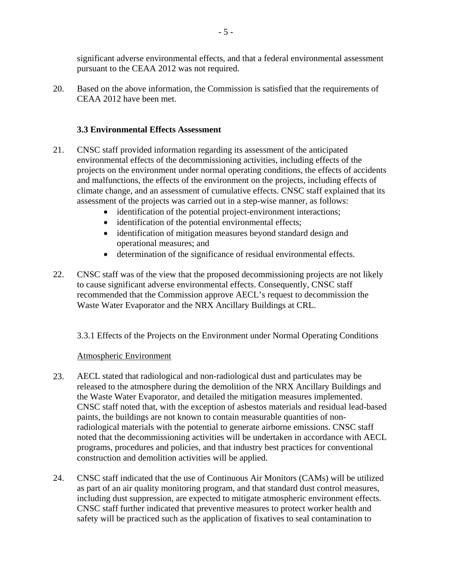significant adverse environmental effects, and that a federal environmental assessment pursuant to the CEAA 2012 was not required.

20. Based on the above information, the Commission is satisfied that the requirements of CEAA 2012 have been met.

## **3.3 Environmental Effects Assessment**

- 21. CNSC staff provided information regarding its assessment of the anticipated environmental effects of the decommissioning activities, including effects of the projects on the environment under normal operating conditions, the effects of accidents and malfunctions, the effects of the environment on the projects, including effects of climate change, and an assessment of cumulative effects. CNSC staff explained that its assessment of the projects was carried out in a step-wise manner, as follows:
	- identification of the potential project-environment interactions;
	- identification of the potential environmental effects;
	- identification of mitigation measures beyond standard design and operational measures; and
	- determination of the significance of residual environmental effects.
- 22. CNSC staff was of the view that the proposed decommissioning projects are not likely to cause significant adverse environmental effects. Consequently, CNSC staff recommended that the Commission approve AECL's request to decommission the Waste Water Evaporator and the NRX Ancillary Buildings at CRL.

3.3.1 Effects of the Projects on the Environment under Normal Operating Conditions

#### Atmospheric Environment

- 23. AECL stated that radiological and non-radiological dust and particulates may be released to the atmosphere during the demolition of the NRX Ancillary Buildings and the Waste Water Evaporator, and detailed the mitigation measures implemented. CNSC staff noted that, with the exception of asbestos materials and residual lead-based paints, the buildings are not known to contain measurable quantities of nonradiological materials with the potential to generate airborne emissions. CNSC staff noted that the decommissioning activities will be undertaken in accordance with AECL programs, procedures and policies, and that industry best practices for conventional construction and demolition activities will be applied.
- 24. CNSC staff indicated that the use of Continuous Air Monitors (CAMs) will be utilized as part of an air quality monitoring program, and that standard dust control measures, including dust suppression, are expected to mitigate atmospheric environment effects. CNSC staff further indicated that preventive measures to protect worker health and safety will be practiced such as the application of fixatives to seal contamination to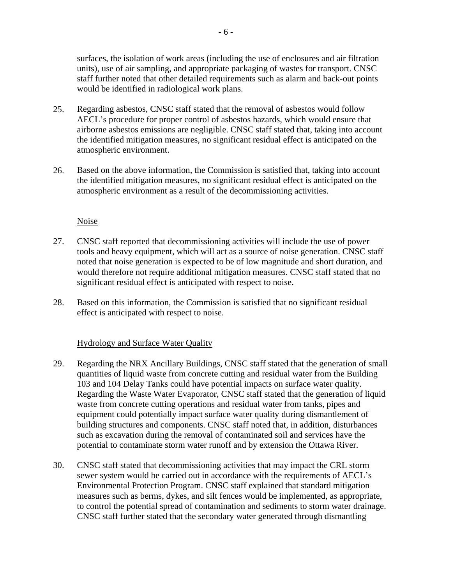surfaces, the isolation of work areas (including the use of enclosures and air filtration units), use of air sampling, and appropriate packaging of wastes for transport. CNSC staff further noted that other detailed requirements such as alarm and back-out points would be identified in radiological work plans.

- 25. Regarding asbestos, CNSC staff stated that the removal of asbestos would follow AECL's procedure for proper control of asbestos hazards, which would ensure that airborne asbestos emissions are negligible. CNSC staff stated that, taking into account the identified mitigation measures, no significant residual effect is anticipated on the atmospheric environment.
- 26. Based on the above information, the Commission is satisfied that, taking into account the identified mitigation measures, no significant residual effect is anticipated on the atmospheric environment as a result of the decommissioning activities.

#### Noise

- 27. CNSC staff reported that decommissioning activities will include the use of power tools and heavy equipment, which will act as a source of noise generation. CNSC staff noted that noise generation is expected to be of low magnitude and short duration, and would therefore not require additional mitigation measures. CNSC staff stated that no significant residual effect is anticipated with respect to noise.
- 28. Based on this information, the Commission is satisfied that no significant residual effect is anticipated with respect to noise.

#### Hydrology and Surface Water Quality

- 29. Regarding the NRX Ancillary Buildings, CNSC staff stated that the generation of small quantities of liquid waste from concrete cutting and residual water from the Building 103 and 104 Delay Tanks could have potential impacts on surface water quality. Regarding the Waste Water Evaporator, CNSC staff stated that the generation of liquid waste from concrete cutting operations and residual water from tanks, pipes and equipment could potentially impact surface water quality during dismantlement of building structures and components. CNSC staff noted that, in addition, disturbances such as excavation during the removal of contaminated soil and services have the potential to contaminate storm water runoff and by extension the Ottawa River.
- 30. CNSC staff stated that decommissioning activities that may impact the CRL storm sewer system would be carried out in accordance with the requirements of AECL's Environmental Protection Program. CNSC staff explained that standard mitigation measures such as berms, dykes, and silt fences would be implemented, as appropriate, to control the potential spread of contamination and sediments to storm water drainage. CNSC staff further stated that the secondary water generated through dismantling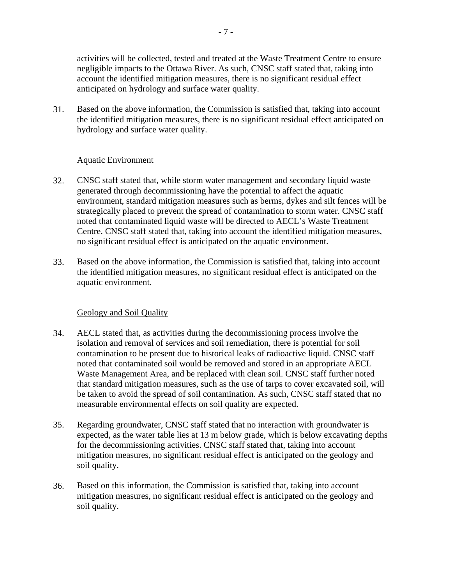activities will be collected, tested and treated at the Waste Treatment Centre to ensure negligible impacts to the Ottawa River. As such, CNSC staff stated that, taking into account the identified mitigation measures, there is no significant residual effect anticipated on hydrology and surface water quality.

31. Based on the above information, the Commission is satisfied that, taking into account the identified mitigation measures, there is no significant residual effect anticipated on hydrology and surface water quality.

#### Aquatic Environment

- 32. CNSC staff stated that, while storm water management and secondary liquid waste generated through decommissioning have the potential to affect the aquatic environment, standard mitigation measures such as berms, dykes and silt fences will be strategically placed to prevent the spread of contamination to storm water. CNSC staff noted that contaminated liquid waste will be directed to AECL's Waste Treatment Centre. CNSC staff stated that, taking into account the identified mitigation measures, no significant residual effect is anticipated on the aquatic environment.
- 33. Based on the above information, the Commission is satisfied that, taking into account the identified mitigation measures, no significant residual effect is anticipated on the aquatic environment.

#### Geology and Soil Quality

- 34. AECL stated that, as activities during the decommissioning process involve the isolation and removal of services and soil remediation, there is potential for soil contamination to be present due to historical leaks of radioactive liquid. CNSC staff noted that contaminated soil would be removed and stored in an appropriate AECL Waste Management Area, and be replaced with clean soil. CNSC staff further noted that standard mitigation measures, such as the use of tarps to cover excavated soil, will be taken to avoid the spread of soil contamination. As such, CNSC staff stated that no measurable environmental effects on soil quality are expected.
- 35. Regarding groundwater, CNSC staff stated that no interaction with groundwater is expected, as the water table lies at 13 m below grade, which is below excavating depths for the decommissioning activities. CNSC staff stated that, taking into account mitigation measures, no significant residual effect is anticipated on the geology and soil quality.
- 36. Based on this information, the Commission is satisfied that, taking into account mitigation measures, no significant residual effect is anticipated on the geology and soil quality.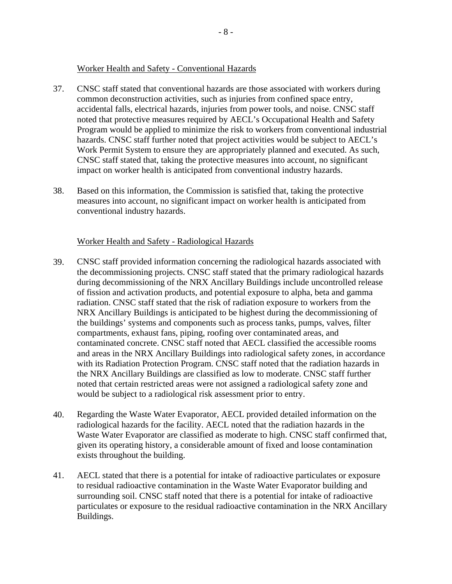#### Worker Health and Safety - Conventional Hazards

- 37. CNSC staff stated that conventional hazards are those associated with workers during common deconstruction activities, such as injuries from confined space entry, accidental falls, electrical hazards, injuries from power tools, and noise. CNSC staff noted that protective measures required by AECL's Occupational Health and Safety Program would be applied to minimize the risk to workers from conventional industrial hazards. CNSC staff further noted that project activities would be subject to AECL's Work Permit System to ensure they are appropriately planned and executed. As such, CNSC staff stated that, taking the protective measures into account, no significant impact on worker health is anticipated from conventional industry hazards.
- 38. Based on this information, the Commission is satisfied that, taking the protective measures into account, no significant impact on worker health is anticipated from conventional industry hazards.

# Worker Health and Safety - Radiological Hazards

- 39. CNSC staff provided information concerning the radiological hazards associated with the decommissioning projects. CNSC staff stated that the primary radiological hazards during decommissioning of the NRX Ancillary Buildings include uncontrolled release of fission and activation products, and potential exposure to alpha, beta and gamma radiation. CNSC staff stated that the risk of radiation exposure to workers from the NRX Ancillary Buildings is anticipated to be highest during the decommissioning of the buildings' systems and components such as process tanks, pumps, valves, filter compartments, exhaust fans, piping, roofing over contaminated areas, and contaminated concrete. CNSC staff noted that AECL classified the accessible rooms and areas in the NRX Ancillary Buildings into radiological safety zones, in accordance with its Radiation Protection Program. CNSC staff noted that the radiation hazards in the NRX Ancillary Buildings are classified as low to moderate. CNSC staff further noted that certain restricted areas were not assigned a radiological safety zone and would be subject to a radiological risk assessment prior to entry.
- 40. Regarding the Waste Water Evaporator, AECL provided detailed information on the radiological hazards for the facility. AECL noted that the radiation hazards in the Waste Water Evaporator are classified as moderate to high. CNSC staff confirmed that, given its operating history, a considerable amount of fixed and loose contamination exists throughout the building.
- 41. AECL stated that there is a potential for intake of radioactive particulates or exposure to residual radioactive contamination in the Waste Water Evaporator building and surrounding soil. CNSC staff noted that there is a potential for intake of radioactive particulates or exposure to the residual radioactive contamination in the NRX Ancillary Buildings.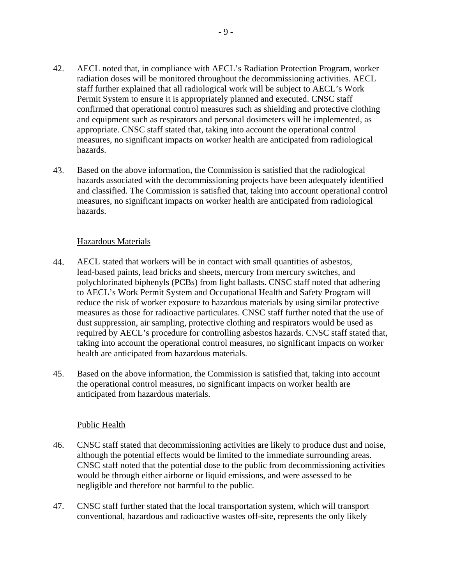- 42. AECL noted that, in compliance with AECL's Radiation Protection Program, worker radiation doses will be monitored throughout the decommissioning activities. AECL staff further explained that all radiological work will be subject to AECL's Work Permit System to ensure it is appropriately planned and executed. CNSC staff confirmed that operational control measures such as shielding and protective clothing and equipment such as respirators and personal dosimeters will be implemented, as appropriate. CNSC staff stated that, taking into account the operational control measures, no significant impacts on worker health are anticipated from radiological hazards.
- 43. Based on the above information, the Commission is satisfied that the radiological hazards associated with the decommissioning projects have been adequately identified and classified. The Commission is satisfied that, taking into account operational control measures, no significant impacts on worker health are anticipated from radiological hazards.

#### Hazardous Materials

- 44. AECL stated that workers will be in contact with small quantities of asbestos, lead-based paints, lead bricks and sheets, mercury from mercury switches, and polychlorinated biphenyls (PCBs) from light ballasts. CNSC staff noted that adhering to AECL's Work Permit System and Occupational Health and Safety Program will reduce the risk of worker exposure to hazardous materials by using similar protective measures as those for radioactive particulates. CNSC staff further noted that the use of dust suppression, air sampling, protective clothing and respirators would be used as required by AECL's procedure for controlling asbestos hazards. CNSC staff stated that, taking into account the operational control measures, no significant impacts on worker health are anticipated from hazardous materials.
- 45. Based on the above information, the Commission is satisfied that, taking into account the operational control measures, no significant impacts on worker health are anticipated from hazardous materials.

#### Public Health

- 46. CNSC staff stated that decommissioning activities are likely to produce dust and noise, although the potential effects would be limited to the immediate surrounding areas. CNSC staff noted that the potential dose to the public from decommissioning activities would be through either airborne or liquid emissions, and were assessed to be negligible and therefore not harmful to the public.
- 47. CNSC staff further stated that the local transportation system, which will transport conventional, hazardous and radioactive wastes off-site, represents the only likely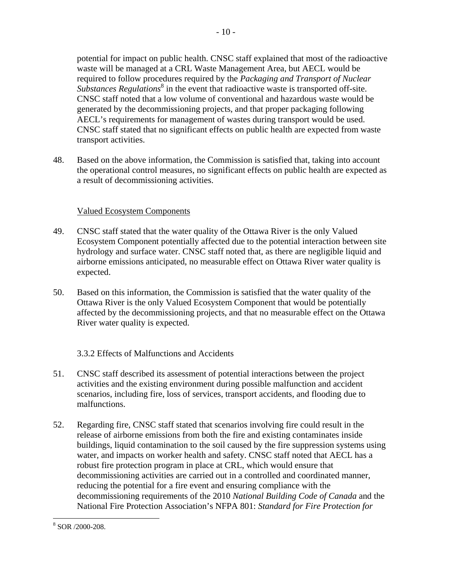potential for impact on public health. CNSC staff explained that most of the radioactive waste will be managed at a CRL Waste Management Area, but AECL would be required to follow procedures required by the *Packaging and Transport of Nuclear Substances Regulations*<sup>8</sup> in the event that radioactive waste is transported off-site. CNSC staff noted that a low volume of conventional and hazardous waste would be generated by the decommissioning projects, and that proper packaging following AECL's requirements for management of wastes during transport would be used. CNSC staff stated that no significant effects on public health are expected from waste transport activities.

48. Based on the above information, the Commission is satisfied that, taking into account the operational control measures, no significant effects on public health are expected as a result of decommissioning activities.

# Valued Ecosystem Components

- 49. CNSC staff stated that the water quality of the Ottawa River is the only Valued Ecosystem Component potentially affected due to the potential interaction between site hydrology and surface water. CNSC staff noted that, as there are negligible liquid and airborne emissions anticipated, no measurable effect on Ottawa River water quality is expected.
- 50. Based on this information, the Commission is satisfied that the water quality of the Ottawa River is the only Valued Ecosystem Component that would be potentially affected by the decommissioning projects, and that no measurable effect on the Ottawa River water quality is expected.

# 3.3.2 Effects of Malfunctions and Accidents

- 51. CNSC staff described its assessment of potential interactions between the project activities and the existing environment during possible malfunction and accident scenarios, including fire, loss of services, transport accidents, and flooding due to malfunctions.
- 52. Regarding fire, CNSC staff stated that scenarios involving fire could result in the release of airborne emissions from both the fire and existing contaminates inside buildings, liquid contamination to the soil caused by the fire suppression systems using water, and impacts on worker health and safety. CNSC staff noted that AECL has a robust fire protection program in place at CRL, which would ensure that decommissioning activities are carried out in a controlled and coordinated manner, reducing the potential for a fire event and ensuring compliance with the decommissioning requirements of the 2010 *National Building Code of Canada* and the National Fire Protection Association's NFPA 801: *Standard for Fire Protection for*

<sup>&</sup>lt;u>.</u> 8 SOR /2000-208.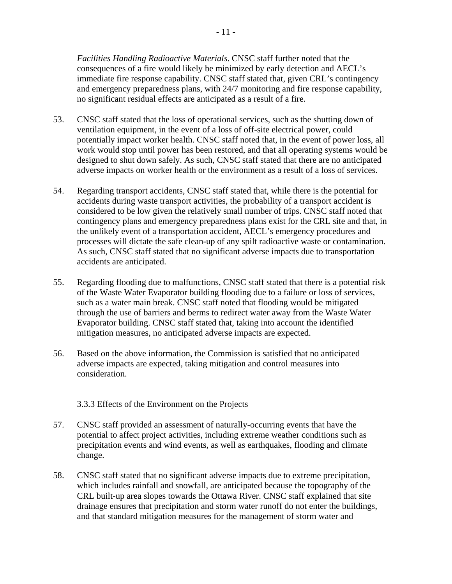*Facilities Handling Radioactive Materials*. CNSC staff further noted that the consequences of a fire would likely be minimized by early detection and AECL's immediate fire response capability. CNSC staff stated that, given CRL's contingency and emergency preparedness plans, with 24/7 monitoring and fire response capability, no significant residual effects are anticipated as a result of a fire.

- 53. CNSC staff stated that the loss of operational services, such as the shutting down of ventilation equipment, in the event of a loss of off-site electrical power, could potentially impact worker health. CNSC staff noted that, in the event of power loss, all work would stop until power has been restored, and that all operating systems would be designed to shut down safely. As such, CNSC staff stated that there are no anticipated adverse impacts on worker health or the environment as a result of a loss of services.
- 54. Regarding transport accidents, CNSC staff stated that, while there is the potential for accidents during waste transport activities, the probability of a transport accident is considered to be low given the relatively small number of trips. CNSC staff noted that contingency plans and emergency preparedness plans exist for the CRL site and that, in the unlikely event of a transportation accident, AECL's emergency procedures and processes will dictate the safe clean-up of any spilt radioactive waste or contamination. As such, CNSC staff stated that no significant adverse impacts due to transportation accidents are anticipated.
- 55. Regarding flooding due to malfunctions, CNSC staff stated that there is a potential risk of the Waste Water Evaporator building flooding due to a failure or loss of services, such as a water main break. CNSC staff noted that flooding would be mitigated through the use of barriers and berms to redirect water away from the Waste Water Evaporator building. CNSC staff stated that, taking into account the identified mitigation measures, no anticipated adverse impacts are expected.
- 56. Based on the above information, the Commission is satisfied that no anticipated adverse impacts are expected, taking mitigation and control measures into consideration.

3.3.3 Effects of the Environment on the Projects

- 57. CNSC staff provided an assessment of naturally-occurring events that have the potential to affect project activities, including extreme weather conditions such as precipitation events and wind events, as well as earthquakes, flooding and climate change.
- 58. CNSC staff stated that no significant adverse impacts due to extreme precipitation, which includes rainfall and snowfall, are anticipated because the topography of the CRL built-up area slopes towards the Ottawa River. CNSC staff explained that site drainage ensures that precipitation and storm water runoff do not enter the buildings, and that standard mitigation measures for the management of storm water and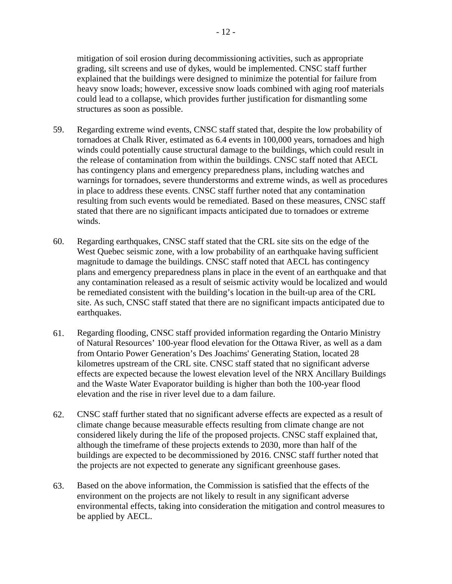mitigation of soil erosion during decommissioning activities, such as appropriate grading, silt screens and use of dykes, would be implemented. CNSC staff further explained that the buildings were designed to minimize the potential for failure from heavy snow loads; however, excessive snow loads combined with aging roof materials could lead to a collapse, which provides further justification for dismantling some structures as soon as possible.

- 59. Regarding extreme wind events, CNSC staff stated that, despite the low probability of tornadoes at Chalk River, estimated as 6.4 events in 100,000 years, tornadoes and high winds could potentially cause structural damage to the buildings, which could result in the release of contamination from within the buildings. CNSC staff noted that AECL has contingency plans and emergency preparedness plans, including watches and warnings for tornadoes, severe thunderstorms and extreme winds, as well as procedures in place to address these events. CNSC staff further noted that any contamination resulting from such events would be remediated. Based on these measures, CNSC staff stated that there are no significant impacts anticipated due to tornadoes or extreme winds.
- 60. Regarding earthquakes, CNSC staff stated that the CRL site sits on the edge of the West Quebec seismic zone, with a low probability of an earthquake having sufficient magnitude to damage the buildings. CNSC staff noted that AECL has contingency plans and emergency preparedness plans in place in the event of an earthquake and that any contamination released as a result of seismic activity would be localized and would be remediated consistent with the building's location in the built-up area of the CRL site. As such, CNSC staff stated that there are no significant impacts anticipated due to earthquakes.
- 61. Regarding flooding, CNSC staff provided information regarding the Ontario Ministry of Natural Resources' 100-year flood elevation for the Ottawa River, as well as a dam from Ontario Power Generation's Des Joachims' Generating Station, located 28 kilometres upstream of the CRL site. CNSC staff stated that no significant adverse effects are expected because the lowest elevation level of the NRX Ancillary Buildings and the Waste Water Evaporator building is higher than both the 100-year flood elevation and the rise in river level due to a dam failure.
- 62. CNSC staff further stated that no significant adverse effects are expected as a result of climate change because measurable effects resulting from climate change are not considered likely during the life of the proposed projects. CNSC staff explained that, although the timeframe of these projects extends to 2030, more than half of the buildings are expected to be decommissioned by 2016. CNSC staff further noted that the projects are not expected to generate any significant greenhouse gases.
- 63. Based on the above information, the Commission is satisfied that the effects of the environment on the projects are not likely to result in any significant adverse environmental effects, taking into consideration the mitigation and control measures to be applied by AECL.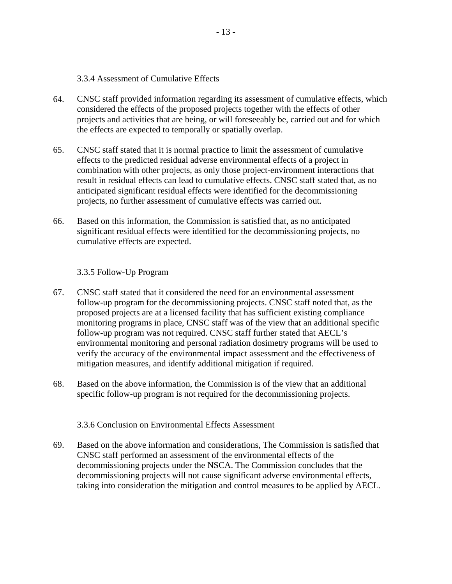3.3.4 Assessment of Cumulative Effects

- 64. CNSC staff provided information regarding its assessment of cumulative effects, which considered the effects of the proposed projects together with the effects of other projects and activities that are being, or will foreseeably be, carried out and for which the effects are expected to temporally or spatially overlap.
- 65. CNSC staff stated that it is normal practice to limit the assessment of cumulative effects to the predicted residual adverse environmental effects of a project in combination with other projects, as only those project-environment interactions that result in residual effects can lead to cumulative effects. CNSC staff stated that, as no anticipated significant residual effects were identified for the decommissioning projects, no further assessment of cumulative effects was carried out.
- 66. Based on this information, the Commission is satisfied that, as no anticipated significant residual effects were identified for the decommissioning projects, no cumulative effects are expected.

3.3.5 Follow-Up Program

- 67. CNSC staff stated that it considered the need for an environmental assessment follow-up program for the decommissioning projects. CNSC staff noted that, as the proposed projects are at a licensed facility that has sufficient existing compliance monitoring programs in place, CNSC staff was of the view that an additional specific follow-up program was not required. CNSC staff further stated that AECL's environmental monitoring and personal radiation dosimetry programs will be used to verify the accuracy of the environmental impact assessment and the effectiveness of mitigation measures, and identify additional mitigation if required.
- 68. Based on the above information, the Commission is of the view that an additional specific follow-up program is not required for the decommissioning projects.

3.3.6 Conclusion on Environmental Effects Assessment

69. Based on the above information and considerations, The Commission is satisfied that CNSC staff performed an assessment of the environmental effects of the decommissioning projects under the NSCA. The Commission concludes that the decommissioning projects will not cause significant adverse environmental effects, taking into consideration the mitigation and control measures to be applied by AECL.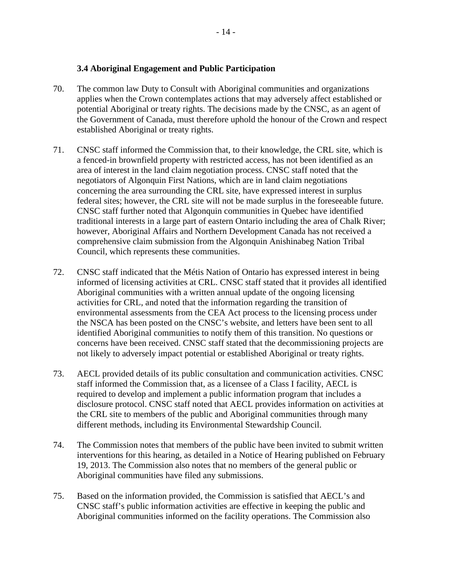#### **3.4 Aboriginal Engagement and Public Participation**

- potential Aboriginal or treaty rights. The decisions made by the CNSC, as an agent of 70. The common law Duty to Consult with Aboriginal communities and organizations applies when the Crown contemplates actions that may adversely affect established or the Government of Canada, must therefore uphold the honour of the Crown and respect established Aboriginal or treaty rights.
- 71. CNSC staff informed the Commission that, to their knowledge, the CRL site, which is a fenced-in brownfield property with restricted access, has not been identified as an area of interest in the land claim negotiation process. CNSC staff noted that the negotiators of Algonquin First Nations, which are in land claim negotiations concerning the area surrounding the CRL site, have expressed interest in surplus federal sites; however, the CRL site will not be made surplus in the foreseeable future. CNSC staff further noted that Algonquin communities in Quebec have identified traditional interests in a large part of eastern Ontario including the area of Chalk River; however, Aboriginal Affairs and Northern Development Canada has not received a comprehensive claim submission from the Algonquin Anishinabeg Nation Tribal Council, which represents these communities.
- 72. CNSC staff indicated that the Métis Nation of Ontario has expressed interest in being informed of licensing activities at CRL. CNSC staff stated that it provides all identified Aboriginal communities with a written annual update of the ongoing licensing activities for CRL, and noted that the information regarding the transition of environmental assessments from the CEA Act process to the licensing process under the NSCA has been posted on the CNSC's website, and letters have been sent to all identified Aboriginal communities to notify them of this transition. No questions or concerns have been received. CNSC staff stated that the decommissioning projects are not likely to adversely impact potential or established Aboriginal or treaty rights.
- 73. AECL provided details of its public consultation and communication activities. CNSC staff informed the Commission that, as a licensee of a Class I facility, AECL is required to develop and implement a public information program that includes a disclosure protocol. CNSC staff noted that AECL provides information on activities at the CRL site to members of the public and Aboriginal communities through many different methods, including its Environmental Stewardship Council.
- 74. The Commission notes that members of the public have been invited to submit written interventions for this hearing, as detailed in a Notice of Hearing published on February 19, 2013. The Commission also notes that no members of the general public or Aboriginal communities have filed any submissions.
- 75. Based on the information provided, the Commission is satisfied that AECL's and CNSC staff's public information activities are effective in keeping the public and Aboriginal communities informed on the facility operations. The Commission also